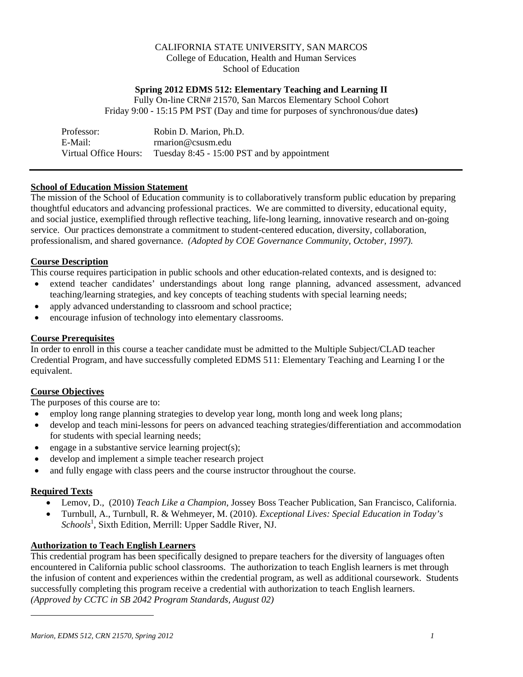# CALIFORNIA STATE UNIVERSITY, SAN MARCOS College of Education, Health and Human Services School of Education

# **Spring 2012 EDMS 512: Elementary Teaching and Learning II**

Fully On-line CRN# 21570, San Marcos Elementary School Cohort Friday 9:00 - 15:15 PM PST (Day and time for purposes of synchronous/due dates**)** 

| Professor:            | Robin D. Marion, Ph.D.                      |
|-----------------------|---------------------------------------------|
| E-Mail:               | rmarion@csusm.edu                           |
| Virtual Office Hours: | Tuesday 8:45 - 15:00 PST and by appointment |

# **School of Education Mission Statement**

The mission of the School of Education community is to collaboratively transform public education by preparing thoughtful educators and advancing professional practices. We are committed to diversity, educational equity, and social justice, exemplified through reflective teaching, life-long learning, innovative research and on-going service. Our practices demonstrate a commitment to student-centered education, diversity, collaboration, professionalism, and shared governance. *(Adopted by COE Governance Community, October, 1997).* 

# **Course Description**

This course requires participation in public schools and other education-related contexts, and is designed to:

- extend teacher candidates' understandings about long range planning, advanced assessment, advanced teaching/learning strategies, and key concepts of teaching students with special learning needs;
- apply advanced understanding to classroom and school practice;
- encourage infusion of technology into elementary classrooms.

# **Course Prerequisites**

In order to enroll in this course a teacher candidate must be admitted to the Multiple Subject/CLAD teacher Credential Program, and have successfully completed EDMS 511: Elementary Teaching and Learning I or the equivalent.

# **Course Objectives**

The purposes of this course are to:

- employ long range planning strategies to develop year long, month long and week long plans;
- develop and teach mini-lessons for peers on advanced teaching strategies/differentiation and accommodation for students with special learning needs;
- $\bullet$  engage in a substantive service learning project(s);
- develop and implement a simple teacher research project
- and fully engage with class peers and the course instructor throughout the course.

# **Required Texts**

 $\overline{\phantom{a}}$ 

- Lemov, D., (2010) *Teach Like a Champion*, Jossey Boss Teacher Publication, San Francisco, California.
- Turnbull, A., Turnbull, R. & Wehmeyer, M. (2010). *Exceptional Lives: Special Education in Today's*  Schools<sup>1</sup>, Sixth Edition, Merrill: Upper Saddle River, NJ.

# **Authorization to Teach English Learners**

This credential program has been specifically designed to prepare teachers for the diversity of languages often encountered in California public school classrooms. The authorization to teach English learners is met through the infusion of content and experiences within the credential program, as well as additional coursework. Students successfully completing this program receive a credential with authorization to teach English learners. *(Approved by CCTC in SB 2042 Program Standards, August 02)*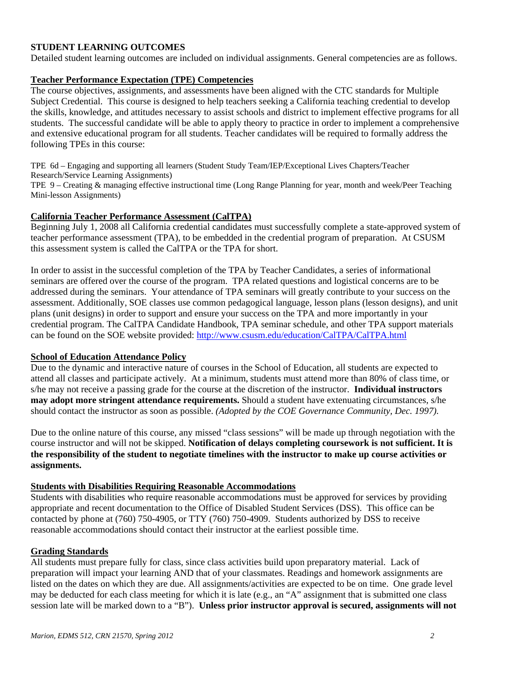# **STUDENT LEARNING OUTCOMES**

Detailed student learning outcomes are included on individual assignments. General competencies are as follows.

#### **Teacher Performance Expectation (TPE) Competencies**

The course objectives, assignments, and assessments have been aligned with the CTC standards for Multiple Subject Credential. This course is designed to help teachers seeking a California teaching credential to develop the skills, knowledge, and attitudes necessary to assist schools and district to implement effective programs for all students. The successful candidate will be able to apply theory to practice in order to implement a comprehensive and extensive educational program for all students. Teacher candidates will be required to formally address the following TPEs in this course:

TPE 6d – Engaging and supporting all learners (Student Study Team/IEP/Exceptional Lives Chapters/Teacher Research/Service Learning Assignments)

TPE 9 – Creating & managing effective instructional time (Long Range Planning for year, month and week/Peer Teaching Mini-lesson Assignments)

#### **California Teacher Performance Assessment (CalTPA)**

Beginning July 1, 2008 all California credential candidates must successfully complete a state-approved system of teacher performance assessment (TPA), to be embedded in the credential program of preparation. At CSUSM this assessment system is called the CalTPA or the TPA for short.

can be found on the SOE website provided: http://www.csusm.edu/education/CalTPA/CalTPA.html In order to assist in the successful completion of the TPA by Teacher Candidates, a series of informational seminars are offered over the course of the program. TPA related questions and logistical concerns are to be addressed during the seminars. Your attendance of TPA seminars will greatly contribute to your success on the assessment. Additionally, SOE classes use common pedagogical language, lesson plans (lesson designs), and unit plans (unit designs) in order to support and ensure your success on the TPA and more importantly in your credential program. The CalTPA Candidate Handbook, TPA seminar schedule, and other TPA support materials

#### **School of Education Attendance Policy**

 should contact the instructor as soon as possible. *(Adopted by the COE Governance Community, Dec. 1997).* Due to the dynamic and interactive nature of courses in the School of Education, all students are expected to attend all classes and participate actively. At a minimum, students must attend more than 80% of class time, or s/he may not receive a passing grade for the course at the discretion of the instructor. **Individual instructors may adopt more stringent attendance requirements.** Should a student have extenuating circumstances, s/he

Due to the online nature of this course, any missed "class sessions" will be made up through negotiation with the course instructor and will not be skipped. **Notification of delays completing coursework is not sufficient. It is the responsibility of the student to negotiate timelines with the instructor to make up course activities or assignments.** 

#### **Students with Disabilities Requiring Reasonable Accommodations**

Students with disabilities who require reasonable accommodations must be approved for services by providing appropriate and recent documentation to the Office of Disabled Student Services (DSS). This office can be contacted by phone at (760) 750-4905, or TTY (760) 750-4909. Students authorized by DSS to receive reasonable accommodations should contact their instructor at the earliest possible time.

#### **Grading Standards**

All students must prepare fully for class, since class activities build upon preparatory material. Lack of preparation will impact your learning AND that of your classmates. Readings and homework assignments are listed on the dates on which they are due. All assignments/activities are expected to be on time. One grade level may be deducted for each class meeting for which it is late (e.g., an "A" assignment that is submitted one class session late will be marked down to a "B"). **Unless prior instructor approval is secured, assignments will not**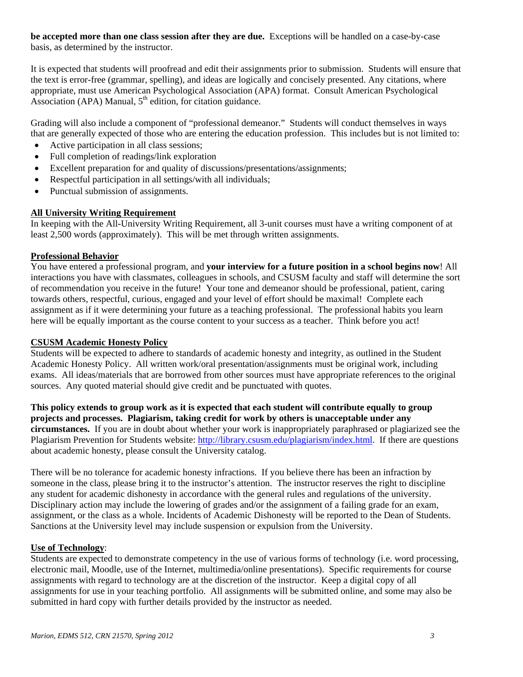**be accepted more than one class session after they are due.** Exceptions will be handled on a case-by-case basis, as determined by the instructor.

It is expected that students will proofread and edit their assignments prior to submission. Students will ensure that the text is error-free (grammar, spelling), and ideas are logically and concisely presented. Any citations, where appropriate, must use American Psychological Association (APA) format. Consult American Psychological Association (APA) Manual,  $5<sup>th</sup>$  edition, for citation guidance.

Grading will also include a component of "professional demeanor." Students will conduct themselves in ways that are generally expected of those who are entering the education profession. This includes but is not limited to:

- Active participation in all class sessions;
- Full completion of readings/link exploration
- Excellent preparation for and quality of discussions/presentations/assignments;
- Respectful participation in all settings/with all individuals;
- Punctual submission of assignments.

### **All University Writing Requirement**

In keeping with the All-University Writing Requirement, all 3-unit courses must have a writing component of at least 2,500 words (approximately). This will be met through written assignments.

### **Professional Behavior**

You have entered a professional program, and **your interview for a future position in a school begins now**! All interactions you have with classmates, colleagues in schools, and CSUSM faculty and staff will determine the sort of recommendation you receive in the future! Your tone and demeanor should be professional, patient, caring towards others, respectful, curious, engaged and your level of effort should be maximal! Complete each assignment as if it were determining your future as a teaching professional. The professional habits you learn here will be equally important as the course content to your success as a teacher. Think before you act!

## **CSUSM Academic Honesty Policy**

Students will be expected to adhere to standards of academic honesty and integrity, as outlined in the Student Academic Honesty Policy. All written work/oral presentation/assignments must be original work, including exams. All ideas/materials that are borrowed from other sources must have appropriate references to the original sources. Any quoted material should give credit and be punctuated with quotes.

**This policy extends to group work as it is expected that each student will contribute equally to group projects and processes. Plagiarism, taking credit for work by others is unacceptable under any circumstances.** If you are in doubt about whether your work is inappropriately paraphrased or plagiarized see the Plagiarism Prevention for Students website: http://library.csusm.edu/plagiarism/index.html. If there are questions about academic honesty, please consult the University catalog.

 any student for academic dishonesty in accordance with the general rules and regulations of the university. There will be no tolerance for academic honesty infractions. If you believe there has been an infraction by someone in the class, please bring it to the instructor's attention. The instructor reserves the right to discipline Disciplinary action may include the lowering of grades and/or the assignment of a failing grade for an exam, assignment, or the class as a whole. Incidents of Academic Dishonesty will be reported to the Dean of Students. Sanctions at the University level may include suspension or expulsion from the University.

# **Use of Technology**:

Students are expected to demonstrate competency in the use of various forms of technology (i.e. word processing, electronic mail, Moodle, use of the Internet, multimedia/online presentations). Specific requirements for course assignments with regard to technology are at the discretion of the instructor. Keep a digital copy of all assignments for use in your teaching portfolio. All assignments will be submitted online, and some may also be submitted in hard copy with further details provided by the instructor as needed.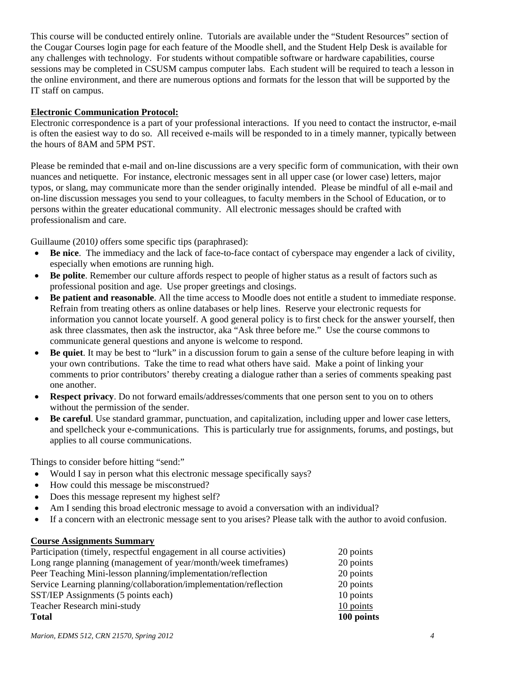This course will be conducted entirely online. Tutorials are available under the "Student Resources" section of the Cougar Courses login page for each feature of the Moodle shell, and the Student Help Desk is available for any challenges with technology. For students without compatible software or hardware capabilities, course sessions may be completed in CSUSM campus computer labs. Each student will be required to teach a lesson in the online environment, and there are numerous options and formats for the lesson that will be supported by the IT staff on campus.

### **Electronic Communication Protocol:**

Electronic correspondence is a part of your professional interactions. If you need to contact the instructor, e-mail is often the easiest way to do so. All received e-mails will be responded to in a timely manner, typically between the hours of 8AM and 5PM PST.

Please be reminded that e-mail and on-line discussions are a very specific form of communication, with their own nuances and netiquette. For instance, electronic messages sent in all upper case (or lower case) letters, major typos, or slang, may communicate more than the sender originally intended. Please be mindful of all e-mail and on-line discussion messages you send to your colleagues, to faculty members in the School of Education, or to persons within the greater educational community. All electronic messages should be crafted with professionalism and care.

Guillaume (2010*)* offers some specific tips (paraphrased):

- **Be nice**. The immediacy and the lack of face-to-face contact of cyberspace may engender a lack of civility, especially when emotions are running high.
- **Be polite**. Remember our culture affords respect to people of higher status as a result of factors such as professional position and age. Use proper greetings and closings.
- **Be patient and reasonable**. All the time access to Moodle does not entitle a student to immediate response. Refrain from treating others as online databases or help lines. Reserve your electronic requests for information you cannot locate yourself. A good general policy is to first check for the answer yourself, then ask three classmates, then ask the instructor, aka "Ask three before me." Use the course commons to communicate general questions and anyone is welcome to respond.
- **Be quiet**. It may be best to "lurk" in a discussion forum to gain a sense of the culture before leaping in with your own contributions. Take the time to read what others have said. Make a point of linking your comments to prior contributors' thereby creating a dialogue rather than a series of comments speaking past one another.
- **Respect privacy**. Do not forward emails/addresses/comments that one person sent to you on to others without the permission of the sender.
- **Be careful**. Use standard grammar, punctuation, and capitalization, including upper and lower case letters, and spellcheck your e-communications. This is particularly true for assignments, forums, and postings, but applies to all course communications.

Things to consider before hitting "send:"

- Would I say in person what this electronic message specifically says?
- How could this message be misconstrued?
- Does this message represent my highest self?
- Am I sending this broad electronic message to avoid a conversation with an individual?
- If a concern with an electronic message sent to you arises? Please talk with the author to avoid confusion.

### **Course Assignments Summary**

| Participation (timely, respectful engagement in all course activities) | 20 points  |
|------------------------------------------------------------------------|------------|
| Long range planning (management of year/month/week timeframes)         | 20 points  |
| Peer Teaching Mini-lesson planning/implementation/reflection           | 20 points  |
| Service Learning planning/collaboration/implementation/reflection      | 20 points  |
| SST/IEP Assignments (5 points each)                                    | 10 points  |
| Teacher Research mini-study                                            | 10 points  |
| <b>Total</b>                                                           | 100 points |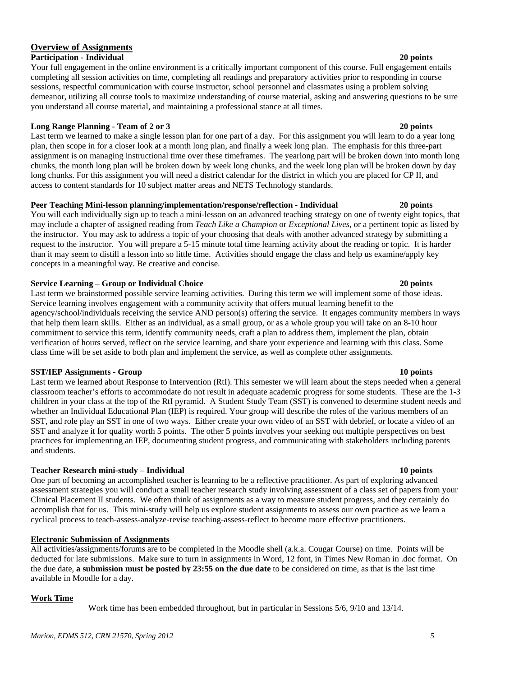#### *Marion, EDMS 512, CRN 21570, Spring 2012 5*

# **Overview of Assignments**

#### **Participation - Individual 20 points**

 demeanor, utilizing all course tools to maximize understanding of course material, asking and answering questions to be sure Your full engagement in the online environment is a critically important component of this course. Full engagement entails completing all session activities on time, completing all readings and preparatory activities prior to responding in course sessions, respectful communication with course instructor, school personnel and classmates using a problem solving you understand all course material, and maintaining a professional stance at all times.

#### **Long Range Planning - Team of 2 or 3** 20 points **20 points in the U.S. 20 points in the U.S. 20 points in the U.S. 20 points in the U.S. 20 points in the U.S. 20 points in the U.S. 20 points in the U.S. 20 points in the U**

 Last term we learned to make a single lesson plan for one part of a day. For this assignment you will learn to do a year long chunks, the month long plan will be broken down by week long chunks, and the week long plan will be broken down by day plan, then scope in for a closer look at a month long plan, and finally a week long plan. The emphasis for this three-part assignment is on managing instructional time over these timeframes. The yearlong part will be broken down into month long long chunks. For this assignment you will need a district calendar for the district in which you are placed for CP II, and access to content standards for 10 subject matter areas and NETS Technology standards.

#### **Peer Teaching Mini-lesson planning/implementation/response/reflection - Individual 20 points**

 may include a chapter of assigned reading from *Teach Like a Champion* or *Exceptional Lives*, or a pertinent topic as listed by the instructor. You may ask to address a topic of your choosing that deals with another advanced strategy by submitting a You will each individually sign up to teach a mini-lesson on an advanced teaching strategy on one of twenty eight topics, that request to the instructor. You will prepare a 5-15 minute total time learning activity about the reading or topic. It is harder than it may seem to distill a lesson into so little time. Activities should engage the class and help us examine/apply key concepts in a meaningful way. Be creative and concise.

#### **Service Learning – Group or Individual Choice 20 points**

 class time will be set aside to both plan and implement the service, as well as complete other assignments. Last term we brainstormed possible service learning activities. During this term we will implement some of those ideas. Service learning involves engagement with a community activity that offers mutual learning benefit to the agency/school/individuals receiving the service AND person(s) offering the service. It engages community members in ways that help them learn skills. Either as an individual, as a small group, or as a whole group you will take on an 8-10 hour commitment to service this term, identify community needs, craft a plan to address them, implement the plan, obtain verification of hours served, reflect on the service learning, and share your experience and learning with this class. Some

#### **SST/IEP Assignments - Group 10 points in the state of the state of the state of the state of the state of the state of the state of the state of the state of the state of the state of the state of the state of the state o**

 children in your class at the top of the RtI pyramid. A Student Study Team (SST) is convened to determine student needs and SST, and role play an SST in one of two ways. Either create your own video of an SST with debrief, or locate a video of an SST and analyze it for quality worth 5 points. The other 5 points involves your seeking out multiple perspectives on best Last term we learned about Response to Intervention (RtI). This semester we will learn about the steps needed when a general classroom teacher's efforts to accommodate do not result in adequate academic progress for some students. These are the 1-3 whether an Individual Educational Plan (IEP) is required. Your group will describe the roles of the various members of an practices for implementing an IEP, documenting student progress, and communicating with stakeholders including parents and students.

#### Teacher Research mini-study - Individual

 One part of becoming an accomplished teacher is learning to be a reflective practitioner. As part of exploring advanced assessment strategies you will conduct a small teacher research study involving assessment of a class set of papers from your Clinical Placement II students. We often think of assignments as a way to measure student progress, and they certainly do accomplish that for us. This mini-study will help us explore student assignments to assess our own practice as we learn a cyclical process to teach-assess-analyze-revise teaching-assess-reflect to become more effective practitioners.

#### **Electronic Submission of Assignments**

All activities/assignments/forums are to be completed in the Moodle shell (a.k.a. Cougar Course) on time. Points will be deducted for late submissions. Make sure to turn in assignments in Word, 12 font, in Times New Roman in .doc format. On the due date, **a submission must be posted by 23:55 on the due date** to be considered on time, as that is the last time available in Moodle for a day.

#### **Work Time**

Work time has been embedded throughout, but in particular in Sessions 5/6, 9/10 and 13/14.

#### 10 points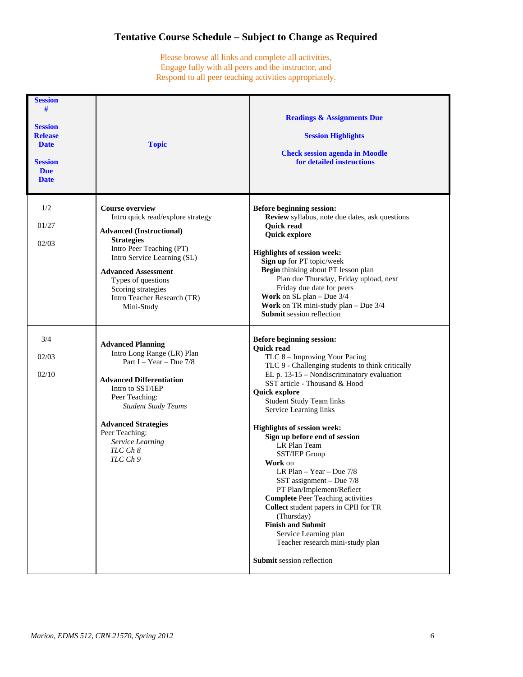# **Tentative Course Schedule – Subject to Change as Required**

Please browse all links and complete all activities, Engage fully with all peers and the instructor, and Respond to all peer teaching activities appropriately.

| <b>Session</b><br>#<br><b>Session</b><br><b>Release</b><br><b>Date</b><br><b>Session</b><br><b>Due</b><br><b>Date</b> | <b>Topic</b>                                                                                                                                                                                                                                                                                          | <b>Readings &amp; Assignments Due</b><br><b>Session Highlights</b><br><b>Check session agenda in Moodle</b><br>for detailed instructions                                                                                                                                                                                                                                                                                                                                                                                                                                                                                                                                                                                                           |
|-----------------------------------------------------------------------------------------------------------------------|-------------------------------------------------------------------------------------------------------------------------------------------------------------------------------------------------------------------------------------------------------------------------------------------------------|----------------------------------------------------------------------------------------------------------------------------------------------------------------------------------------------------------------------------------------------------------------------------------------------------------------------------------------------------------------------------------------------------------------------------------------------------------------------------------------------------------------------------------------------------------------------------------------------------------------------------------------------------------------------------------------------------------------------------------------------------|
| 1/2<br>01/27<br>02/03                                                                                                 | <b>Course overview</b><br>Intro quick read/explore strategy<br><b>Advanced</b> (Instructional)<br><b>Strategies</b><br>Intro Peer Teaching (PT)<br>Intro Service Learning (SL)<br><b>Advanced Assessment</b><br>Types of questions<br>Scoring strategies<br>Intro Teacher Research (TR)<br>Mini-Study | Before beginning session:<br>Review syllabus, note due dates, ask questions<br><b>Quick read</b><br><b>Quick explore</b><br><b>Highlights of session week:</b><br>Sign up for PT topic/week<br>Begin thinking about PT lesson plan<br>Plan due Thursday, Friday upload, next<br>Friday due date for peers<br><b>Work</b> on $SL$ plan – Due $3/4$<br>Work on TR mini-study plan - Due 3/4<br><b>Submit session reflection</b>                                                                                                                                                                                                                                                                                                                      |
| 3/4<br>02/03<br>02/10                                                                                                 | <b>Advanced Planning</b><br>Intro Long Range (LR) Plan<br>Part I – Year – Due $7/8$<br><b>Advanced Differentiation</b><br>Intro to SST/IEP<br>Peer Teaching:<br><b>Student Study Teams</b><br><b>Advanced Strategies</b><br>Peer Teaching:<br>Service Learning<br>TLC Ch 8<br>TLC Ch 9                | <b>Before beginning session:</b><br><b>Quick read</b><br>TLC 8 - Improving Your Pacing<br>TLC 9 - Challenging students to think critically<br>$EL$ p. 13-15 – Nondiscriminatory evaluation<br>SST article - Thousand & Hood<br>Quick explore<br><b>Student Study Team links</b><br>Service Learning links<br><b>Highlights of session week:</b><br>Sign up before end of session<br>LR Plan Team<br>SST/IEP Group<br>Work on<br>LR Plan $-$ Year $-$ Due 7/8<br>SST assignment $-$ Due $7/8$<br>PT Plan/Implement/Reflect<br><b>Complete Peer Teaching activities</b><br>Collect student papers in CPII for TR<br>(Thursday)<br><b>Finish and Submit</b><br>Service Learning plan<br>Teacher research mini-study plan<br>Submit session reflection |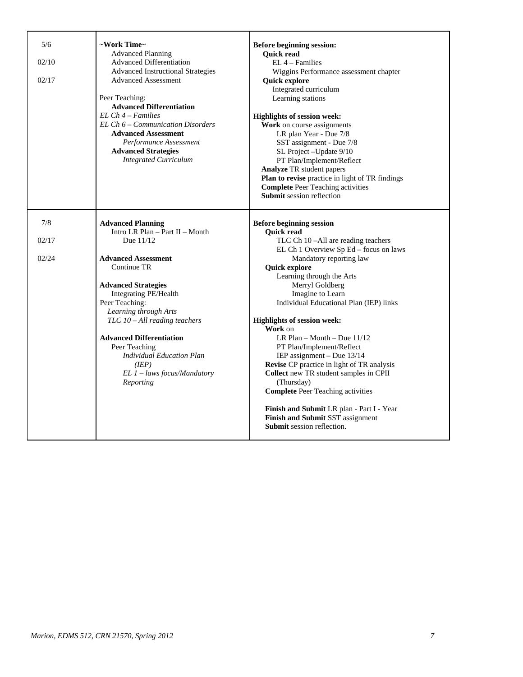| 5/6<br>02/10<br>02/17 | ~Work Time~<br><b>Advanced Planning</b><br><b>Advanced Differentiation</b><br><b>Advanced Instructional Strategies</b><br><b>Advanced Assessment</b><br>Peer Teaching:<br><b>Advanced Differentiation</b><br>$EL Ch 4 - Families$<br>EL Ch 6 – Communication Disorders<br><b>Advanced Assessment</b><br>Performance Assessment<br><b>Advanced Strategies</b><br><b>Integrated Curriculum</b> | <b>Before beginning session:</b><br><b>Quick read</b><br>$EL$ 4 – Families<br>Wiggins Performance assessment chapter<br><b>Quick explore</b><br>Integrated curriculum<br>Learning stations<br><b>Highlights of session week:</b><br>Work on course assignments<br>LR plan Year - Due 7/8<br>SST assignment - Due 7/8<br>SL Project - Update 9/10<br>PT Plan/Implement/Reflect<br><b>Analyze TR</b> student papers<br>Plan to revise practice in light of TR findings |
|-----------------------|----------------------------------------------------------------------------------------------------------------------------------------------------------------------------------------------------------------------------------------------------------------------------------------------------------------------------------------------------------------------------------------------|----------------------------------------------------------------------------------------------------------------------------------------------------------------------------------------------------------------------------------------------------------------------------------------------------------------------------------------------------------------------------------------------------------------------------------------------------------------------|
|                       |                                                                                                                                                                                                                                                                                                                                                                                              | <b>Complete Peer Teaching activities</b><br><b>Submit session reflection</b>                                                                                                                                                                                                                                                                                                                                                                                         |
| 7/8                   | <b>Advanced Planning</b><br>Intro LR Plan - Part II - Month                                                                                                                                                                                                                                                                                                                                  | <b>Before beginning session</b><br><b>Quick read</b>                                                                                                                                                                                                                                                                                                                                                                                                                 |
| 02/17                 | Due 11/12                                                                                                                                                                                                                                                                                                                                                                                    | TLC Ch 10 -All are reading teachers<br>EL Ch 1 Overview Sp Ed – focus on laws                                                                                                                                                                                                                                                                                                                                                                                        |
| 02/24                 | <b>Advanced Assessment</b><br>Continue TR                                                                                                                                                                                                                                                                                                                                                    | Mandatory reporting law<br>Quick explore<br>Learning through the Arts                                                                                                                                                                                                                                                                                                                                                                                                |
|                       | <b>Advanced Strategies</b><br>Integrating PE/Health<br>Peer Teaching:<br>Learning through Arts                                                                                                                                                                                                                                                                                               | Merryl Goldberg<br>Imagine to Learn<br>Individual Educational Plan (IEP) links                                                                                                                                                                                                                                                                                                                                                                                       |
|                       | TLC 10 - All reading teachers                                                                                                                                                                                                                                                                                                                                                                | <b>Highlights of session week:</b><br>Work on                                                                                                                                                                                                                                                                                                                                                                                                                        |
|                       | <b>Advanced Differentiation</b><br>Peer Teaching<br><b>Individual Education Plan</b><br>(IEP)<br>EL 1 - laws focus/Mandatory<br>Reporting                                                                                                                                                                                                                                                    | LR Plan $-$ Month $-$ Due 11/12<br>PT Plan/Implement/Reflect<br>IEP assignment $-$ Due 13/14<br>Revise CP practice in light of TR analysis<br>Collect new TR student samples in CPII<br>(Thursday)<br><b>Complete Peer Teaching activities</b><br>Finish and Submit LR plan - Part I - Year<br>Finish and Submit SST assignment                                                                                                                                      |
|                       |                                                                                                                                                                                                                                                                                                                                                                                              | <b>Submit</b> session reflection.                                                                                                                                                                                                                                                                                                                                                                                                                                    |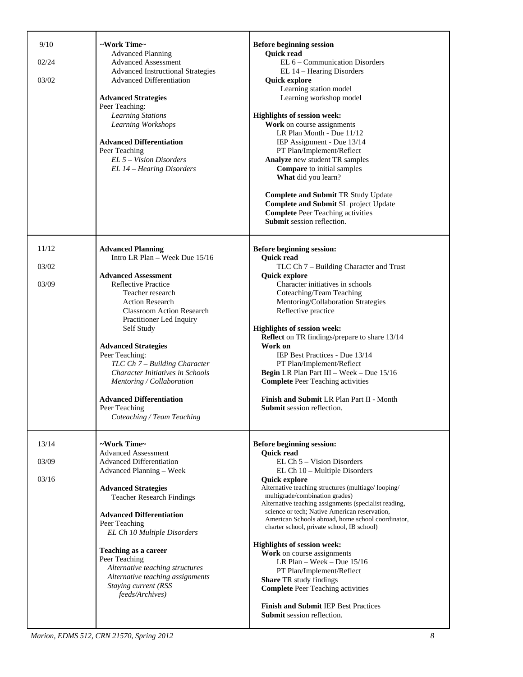| 9/10<br>02/24<br>03/02  | ~Work Time~<br><b>Advanced Planning</b><br><b>Advanced Assessment</b><br><b>Advanced Instructional Strategies</b><br><b>Advanced Differentiation</b><br><b>Advanced Strategies</b><br>Peer Teaching:<br><b>Learning Stations</b><br>Learning Workshops<br><b>Advanced Differentiation</b><br>Peer Teaching<br>EL 5 - Vision Disorders<br>EL 14 - Hearing Disorders                                                                                                                     | <b>Before beginning session</b><br><b>Quick read</b><br>EL 6 – Communication Disorders<br>EL 14 - Hearing Disorders<br><b>Quick explore</b><br>Learning station model<br>Learning workshop model<br>Highlights of session week:<br>Work on course assignments<br>LR Plan Month - Due 11/12<br>IEP Assignment - Due 13/14<br>PT Plan/Implement/Reflect<br>Analyze new student TR samples<br><b>Compare</b> to initial samples<br>What did you learn?<br><b>Complete and Submit TR Study Update</b><br><b>Complete and Submit SL project Update</b><br><b>Complete Peer Teaching activities</b><br><b>Submit</b> session reflection.                                                                                              |
|-------------------------|----------------------------------------------------------------------------------------------------------------------------------------------------------------------------------------------------------------------------------------------------------------------------------------------------------------------------------------------------------------------------------------------------------------------------------------------------------------------------------------|---------------------------------------------------------------------------------------------------------------------------------------------------------------------------------------------------------------------------------------------------------------------------------------------------------------------------------------------------------------------------------------------------------------------------------------------------------------------------------------------------------------------------------------------------------------------------------------------------------------------------------------------------------------------------------------------------------------------------------|
| 11/12<br>03/02<br>03/09 | <b>Advanced Planning</b><br>Intro LR Plan - Week Due 15/16<br><b>Advanced Assessment</b><br><b>Reflective Practice</b><br>Teacher research<br><b>Action Research</b><br><b>Classroom Action Research</b><br>Practitioner Led Inquiry<br>Self Study<br><b>Advanced Strategies</b><br>Peer Teaching:<br>TLC Ch 7 – Building Character<br>Character Initiatives in Schools<br>Mentoring / Collaboration<br><b>Advanced Differentiation</b><br>Peer Teaching<br>Coteaching / Team Teaching | Before beginning session:<br><b>Quick read</b><br>TLC Ch 7 - Building Character and Trust<br><b>Quick explore</b><br>Character initiatives in schools<br>Coteaching/Team Teaching<br>Mentoring/Collaboration Strategies<br>Reflective practice<br><b>Highlights of session week:</b><br>Reflect on TR findings/prepare to share 13/14<br>Work on<br>IEP Best Practices - Due 13/14<br>PT Plan/Implement/Reflect<br>Begin LR Plan Part III - Week - Due 15/16<br><b>Complete Peer Teaching activities</b><br>Finish and Submit LR Plan Part II - Month<br>Submit session reflection.                                                                                                                                             |
| 13/14<br>03/09<br>03/16 | ~Work Time~<br><b>Advanced Assessment</b><br><b>Advanced Differentiation</b><br>Advanced Planning - Week<br><b>Advanced Strategies</b><br><b>Teacher Research Findings</b><br><b>Advanced Differentiation</b><br>Peer Teaching<br>EL Ch 10 Multiple Disorders<br><b>Teaching as a career</b><br>Peer Teaching<br>Alternative teaching structures<br>Alternative teaching assignments<br>Staying current (RSS<br>feeds/Archives)                                                        | Before beginning session:<br><b>Quick read</b><br>EL Ch 5 – Vision Disorders<br>EL Ch 10 - Multiple Disorders<br><b>Quick explore</b><br>Alternative teaching structures (multiage/looping/<br>multigrade/combination grades)<br>Alternative teaching assignments (specialist reading,<br>science or tech; Native American reservation,<br>American Schools abroad, home school coordinator,<br>charter school, private school, IB school)<br><b>Highlights of session week:</b><br>Work on course assignments<br>LR Plan - Week - Due $15/16$<br>PT Plan/Implement/Reflect<br>Share TR study findings<br><b>Complete Peer Teaching activities</b><br><b>Finish and Submit IEP Best Practices</b><br>Submit session reflection. |

*Marion, EDMS 512, CRN 21570, Spring 2012 8*